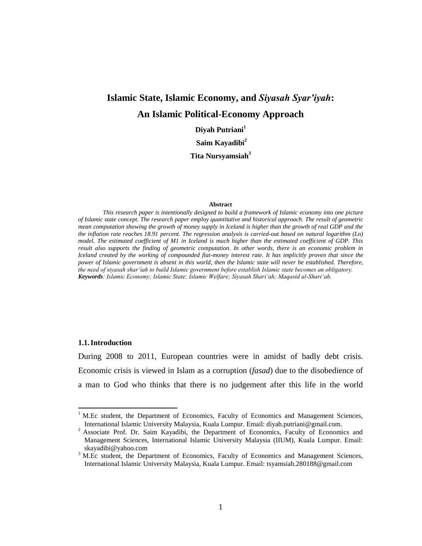# **Islamic State, Islamic Economy, and** *Siyasah Syar'iyah***: An Islamic Political-Economy Approach**

**Diyah Putriani<sup>1</sup>**

**Saim Kayadibi<sup>2</sup>**

**Tita Nursyamsiah<sup>3</sup>**

#### **Abstract**

*This research paper is intentionally designed to build a framework of Islamic economy into one picture of Islamic state concept. The research paper employ quantitative and historical approach. The result of geometric mean computation showing the growth of money supply in Iceland is higher than the growth of real GDP and the the inflation rate reaches 18.91 percent. The regression analysis is carried-out based on natural logarithm (Ln) model. The estimated coefficient of M1 in Iceland is much higher than the estimated coefficient of GDP. This result also supports the finding of geometric computation. In other words, there is an economic problem in Iceland created by the working of compounded fiat-money interest rate. It has implicitly proven that since the power of Islamic government is absent in this world, then the Islamic state will never be established. Therefore, the need of siyasah shar'iah to build Islamic government before establish Islamic state becomes an obligatory. Keywords: Islamic Economy; Islamic State; Islamic Welfare; Siyasah Shari'ah; Maqasid al-Shari'ah.*

#### **1.1.Introduction**

 $\overline{a}$ 

During 2008 to 2011, European countries were in amidst of badly debt crisis. Economic crisis is viewed in Islam as a corruption (*fasad*) due to the disobedience of a man to God who thinks that there is no judgement after this life in the world

 $<sup>1</sup>$  M.Ec student, the Department of Economics, Faculty of Economics and Management Sciences,</sup> International Islamic University Malaysia, Kuala Lumpur. Email: diyah.putriani@gmail.com.

<sup>&</sup>lt;sup>2</sup> Associate Prof. Dr. Saim Kayadibi, the Department of Economics, Faculty of Economics and Management Sciences, International Islamic University Malaysia (IIUM), Kuala Lumpur. Email: [skayadibi@yahoo.com](mailto:skayadibi@yahoo.com)

<sup>&</sup>lt;sup>3</sup> M.Ec student, the Department of Economics, Faculty of Economics and Management Sciences, International Islamic University Malaysia, Kuala Lumpur. Email: [tsyamsiah.280188@gmail.com](mailto:tsyamsiah.280188@gmail.com)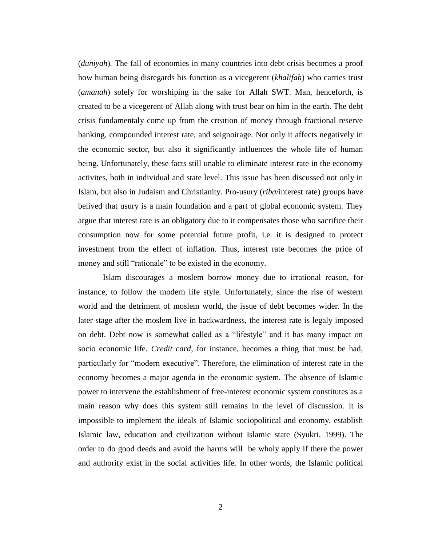(*duniyah*)*.* The fall of economies in many countries into debt crisis becomes a proof how human being disregards his function as a vicegerent (*khalifah*) who carries trust (*amanah*) solely for worshiping in the sake for Allah SWT. Man, henceforth, is created to be a vicegerent of Allah along with trust bear on him in the earth. The debt crisis fundamentaly come up from the creation of money through fractional reserve banking, compounded interest rate, and seignoirage. Not only it affects negatively in the economic sector, but also it significantly influences the whole life of human being. Unfortunately, these facts still unable to eliminate interest rate in the economy activites, both in individual and state level. This issue has been discussed not only in Islam, but also in Judaism and Christianity. Pro-usury (*riba*/interest rate) groups have belived that usury is a main foundation and a part of global economic system. They argue that interest rate is an obligatory due to it compensates those who sacrifice their consumption now for some potential future profit, i.e. it is designed to protect investment from the effect of inflation. Thus, interest rate becomes the price of money and still "rationale" to be existed in the economy.

Islam discourages a moslem borrow money due to irrational reason, for instance, to follow the modern life style. Unfortunately, since the rise of western world and the detriment of moslem world, the issue of debt becomes wider. In the later stage after the moslem live in backwardness, the interest rate is legaly imposed on debt. Debt now is somewhat called as a "lifestyle" and it has many impact on socio economic life. *Credit card*, for instance, becomes a thing that must be had, particularly for "modern executive". Therefore, the elimination of interest rate in the economy becomes a major agenda in the economic system. The absence of Islamic power to intervene the establishment of free-interest economic system constitutes as a main reason why does this system still remains in the level of discussion. It is impossible to implement the ideals of Islamic sociopolitical and economy, establish Islamic law, education and civilization without Islamic state (Syukri, 1999). The order to do good deeds and avoid the harms will be wholy apply if there the power and authority exist in the social activities life. In other words, the Islamic political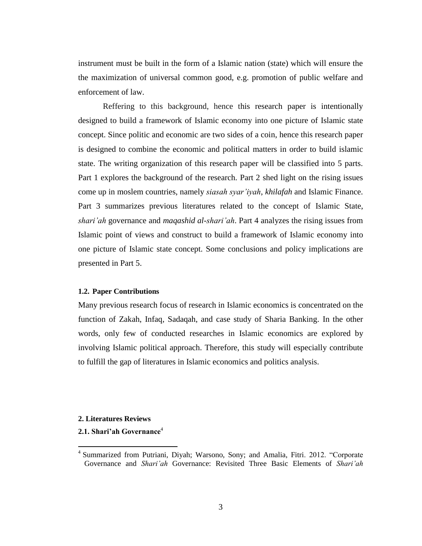instrument must be built in the form of a Islamic nation (state) which will ensure the the maximization of universal common good, e.g. promotion of public welfare and enforcement of law.

Reffering to this background, hence this research paper is intentionally designed to build a framework of Islamic economy into one picture of Islamic state concept. Since politic and economic are two sides of a coin, hence this research paper is designed to combine the economic and political matters in order to build islamic state. The writing organization of this research paper will be classified into 5 parts. Part 1 explores the background of the research. Part 2 shed light on the rising issues come up in moslem countries, namely *siasah syar'iyah*, *khilafah* and Islamic Finance. Part 3 summarizes previous literatures related to the concept of Islamic State, *shari'ah* governance and *maqashid al-shari'ah*. Part 4 analyzes the rising issues from Islamic point of views and construct to build a framework of Islamic economy into one picture of Islamic state concept. Some conclusions and policy implications are presented in Part 5.

## **1.2. Paper Contributions**

Many previous research focus of research in Islamic economics is concentrated on the function of Zakah, Infaq, Sadaqah, and case study of Sharia Banking. In the other words, only few of conducted researches in Islamic economics are explored by involving Islamic political approach. Therefore, this study will especially contribute to fulfill the gap of literatures in Islamic economics and politics analysis.

#### **2. Literatures Reviews**

 $\overline{a}$ 

## **2.1. Shari'ah Governance**<sup>4</sup>

<sup>&</sup>lt;sup>4</sup> Summarized from Putriani, Diyah; Warsono, Sony; and Amalia, Fitri. 2012. "Corporate Governance and *Shari'ah* Governance: Revisited Three Basic Elements of *Shari'ah*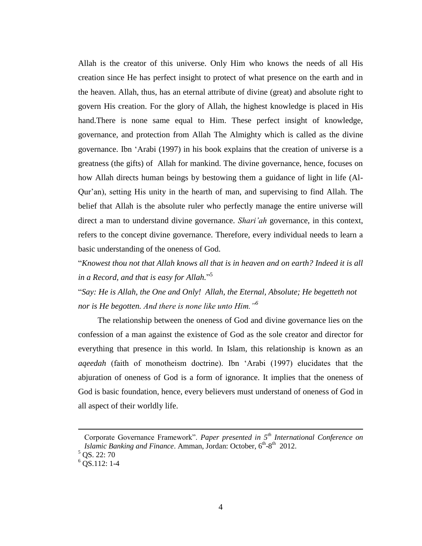Allah is the creator of this universe. Only Him who knows the needs of all His creation since He has perfect insight to protect of what presence on the earth and in the heaven. Allah, thus, has an eternal attribute of divine (great) and absolute right to govern His creation. For the glory of Allah, the highest knowledge is placed in His hand.There is none same equal to Him. These perfect insight of knowledge, governance, and protection from Allah The Almighty which is called as the divine governance. Ibn 'Arabi (1997) in his book explains that the creation of universe is a greatness (the gifts) of Allah for mankind. The divine governance, hence, focuses on how Allah directs human beings by bestowing them a guidance of light in life (Al-Qur'an), setting His unity in the hearth of man, and supervising to find Allah. The belief that Allah is the absolute ruler who perfectly manage the entire universe will direct a man to understand divine governance. *Shari'ah* governance, in this context, refers to the concept divine governance. Therefore, every individual needs to learn a basic understanding of the oneness of God.

"*Knowest thou not that Allah knows all that is in heaven and on earth? Indeed it is all in a Record, and that is easy for Allah.*" 5

"*Say: He is Allah, the One and Only! Allah, the Eternal, Absolute; He begetteth not nor is He begotten. And there is none like unto Him."<sup>6</sup>*

The relationship between the oneness of God and divine governance lies on the confession of a man against the existence of God as the sole creator and director for everything that presence in this world. In Islam, this relationship is known as an *aqeedah* (faith of monotheism doctrine). Ibn 'Arabi (1997) elucidates that the abjuration of oneness of God is a form of ignorance. It implies that the oneness of God is basic foundation, hence, every believers must understand of oneness of God in all aspect of their worldly life.

 $\overline{a}$ 

Corporate Governance Framework". *Paper presented in 5th International Conference on*  Islamic Banking and Finance. Amman, Jordan: October, 6<sup>th</sup>-8<sup>th</sup> 2012.

 $5$  OS. 22: 70

 $6$  OS.112: 1-4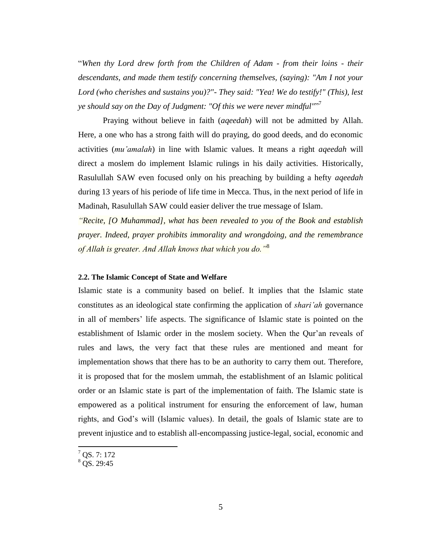"*When thy Lord drew forth from the Children of Adam - from their loins - their descendants, and made them testify concerning themselves, (saying): "Am I not your Lord (who cherishes and sustains you)?"- They said: "Yea! We do testify!" (This), lest ye should say on the Day of Judgment: "Of this we were never mindful"*" 7

Praying without believe in faith (*aqeedah*) will not be admitted by Allah. Here, a one who has a strong faith will do praying, do good deeds, and do economic activities (*mu'amalah*) in line with Islamic values. It means a right *aqeedah* will direct a moslem do implement Islamic rulings in his daily activities. Historically, Rasulullah SAW even focused only on his preaching by building a hefty *aqeedah* during 13 years of his periode of life time in Mecca. Thus, in the next period of life in Madinah, Rasulullah SAW could easier deliver the true message of Islam.

*"Recite, [O Muhammad], what has been revealed to you of the Book and establish prayer. Indeed, prayer prohibits immorality and wrongdoing, and the remembrance of Allah is greater. And Allah knows that which you do."*<sup>8</sup>

## **2.2. The Islamic Concept of State and Welfare**

Islamic state is a community based on belief. It implies that the Islamic state constitutes as an ideological state confirming the application of *shari'ah* governance in all of members' life aspects. The significance of Islamic state is pointed on the establishment of Islamic order in the moslem society. When the Qur'an reveals of rules and laws, the very fact that these rules are mentioned and meant for implementation shows that there has to be an authority to carry them out. Therefore, it is proposed that for the moslem ummah, the establishment of an Islamic political order or an Islamic state is part of the implementation of faith. The Islamic state is empowered as a political instrument for ensuring the enforcement of law, human rights, and God's will (Islamic values). In detail, the goals of Islamic state are to prevent injustice and to establish all-encompassing justice-legal, social, economic and

 $\overline{a}$ 

 $<sup>7</sup>$  QS. 7: 172</sup>

 $8 \overline{\text{OS}}$ . 29:45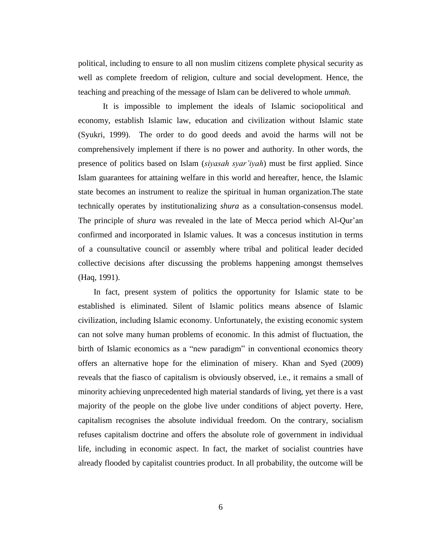political, including to ensure to all non muslim citizens complete physical security as well as complete freedom of religion, culture and social development. Hence, the teaching and preaching of the message of Islam can be delivered to whole *ummah.*

It is impossible to implement the ideals of Islamic sociopolitical and economy, establish Islamic law, education and civilization without Islamic state (Syukri, 1999). The order to do good deeds and avoid the harms will not be comprehensively implement if there is no power and authority. In other words, the presence of politics based on Islam (*siyasah syar'iyah*) must be first applied. Since Islam guarantees for attaining welfare in this world and hereafter, hence, the Islamic state becomes an instrument to realize the spiritual in human organization.The state technically operates by institutionalizing *shura* as a consultation-consensus model. The principle of *shura* was revealed in the late of Mecca period which Al-Qur'an confirmed and incorporated in Islamic values. It was a concesus institution in terms of a counsultative council or assembly where tribal and political leader decided collective decisions after discussing the problems happening amongst themselves (Haq, 1991).

In fact, present system of politics the opportunity for Islamic state to be established is eliminated. Silent of Islamic politics means absence of Islamic civilization, including Islamic economy. Unfortunately, the existing economic system can not solve many human problems of economic. In this admist of fluctuation, the birth of Islamic economics as a "new paradigm" in conventional economics theory offers an alternative hope for the elimination of misery. Khan and Syed (2009) reveals that the fiasco of capitalism is obviously observed, i.e., it remains a small of minority achieving unprecedented high material standards of living, yet there is a vast majority of the people on the globe live under conditions of abject poverty. Here, capitalism recognises the absolute individual freedom. On the contrary, socialism refuses capitalism doctrine and offers the absolute role of government in individual life, including in economic aspect. In fact, the market of socialist countries have already flooded by capitalist countries product. In all probability, the outcome will be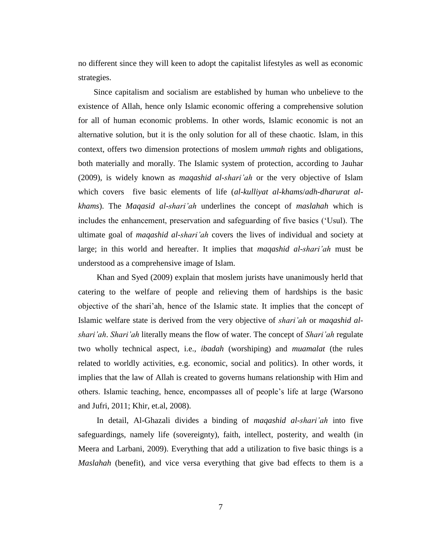no different since they will keen to adopt the capitalist lifestyles as well as economic strategies.

Since capitalism and socialism are established by human who unbelieve to the existence of Allah, hence only Islamic economic offering a comprehensive solution for all of human economic problems. In other words, Islamic economic is not an alternative solution, but it is the only solution for all of these chaotic. Islam, in this context, offers two dimension protections of moslem *ummah* rights and obligations, both materially and morally. The Islamic system of protection, according to Jauhar (2009), is widely known as *maqashid al-shari'ah* or the very objective of Islam which covers five basic elements of life (*al-kulliyat al-khams*/*adh-dharurat alkhams*). The *Maqasid al-shari'ah* underlines the concept of *maslahah* which is includes the enhancement, preservation and safeguarding of five basics ('Usul). The ultimate goal of *maqashid al-shari'ah* covers the lives of individual and society at large; in this world and hereafter. It implies that *maqashid al-shari'ah* must be understood as a comprehensive image of Islam.

Khan and Syed (2009) explain that moslem jurists have unanimously herld that catering to the welfare of people and relieving them of hardships is the basic objective of the shari'ah, hence of the Islamic state. It implies that the concept of Islamic welfare state is derived from the very objective of *shari'ah* or *maqashid alshari'ah*. *Shari'ah* literally means the flow of water. The concept of *Shari'ah* regulate two wholly technical aspect, i.e., *ibadah* (worshiping) and *muamalat* (the rules related to worldly activities, e.g. economic, social and politics). In other words, it implies that the law of Allah is created to governs humans relationship with Him and others. Islamic teaching, hence, encompasses all of people's life at large (Warsono and Jufri, 2011; Khir, et.al, 2008).

In detail, Al-Ghazali divides a binding of *maqashid al-shari'ah* into five safeguardings, namely life (sovereignty), faith, intellect, posterity, and wealth (in Meera and Larbani, 2009). Everything that add a utilization to five basic things is a *Maslahah* (benefit), and vice versa everything that give bad effects to them is a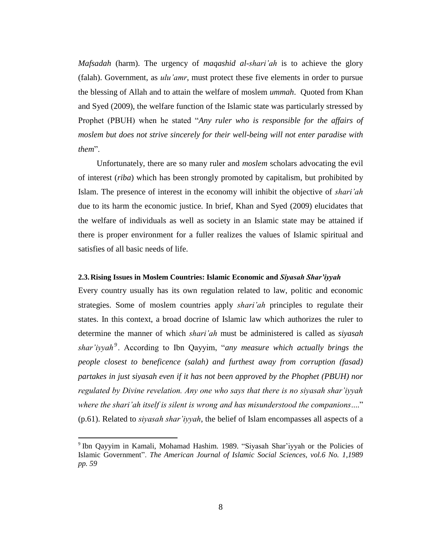*Mafsadah* (harm). The urgency of *maqashid al-shari'ah* is to achieve the glory (falah). Government, as *ulu'amr*, must protect these five elements in order to pursue the blessing of Allah and to attain the welfare of moslem *ummah*. Quoted from Khan and Syed (2009), the welfare function of the Islamic state was particularly stressed by Prophet (PBUH) when he stated "*Any ruler who is responsible for the affairs of moslem but does not strive sincerely for their well-being will not enter paradise with them*".

Unfortunately, there are so many ruler and *moslem* scholars advocating the evil of interest (*riba*) which has been strongly promoted by capitalism, but prohibited by Islam. The presence of interest in the economy will inhibit the objective of *shari'ah* due to its harm the economic justice. In brief, Khan and Syed (2009) elucidates that the welfare of individuals as well as society in an Islamic state may be attained if there is proper environment for a fuller realizes the values of Islamic spiritual and satisfies of all basic needs of life.

## **2.3.Rising Issues in Moslem Countries: Islamic Economic and** *Siyasah Shar'iyyah*

Every country usually has its own regulation related to law, politic and economic strategies. Some of moslem countries apply *shari'ah* principles to regulate their states. In this context, a broad docrine of Islamic law which authorizes the ruler to determine the manner of which *shari'ah* must be administered is called as *siyasah shar'iyyah<sup>9</sup>* . According to Ibn Qayyim, "*any measure which actually brings the people closest to beneficence (salah) and furthest away from corruption (fasad) partakes in just siyasah even if it has not been approved by the Phophet (PBUH) nor regulated by Divine revelation. Any one who says that there is no siyasah shar'iyyah where the shari'ah itself is silent is wrong and has misunderstood the companions*...." (p.61). Related to *siyasah shar'iyyah*, the belief of Islam encompasses all aspects of a

 $\overline{a}$ 

<sup>9</sup> Ibn Qayyim in Kamali, Mohamad Hashim. 1989. "Siyasah Shar'iyyah or the Policies of Islamic Government". *The American Journal of Islamic Social Sciences, vol.6 No. 1,1989 pp. 59*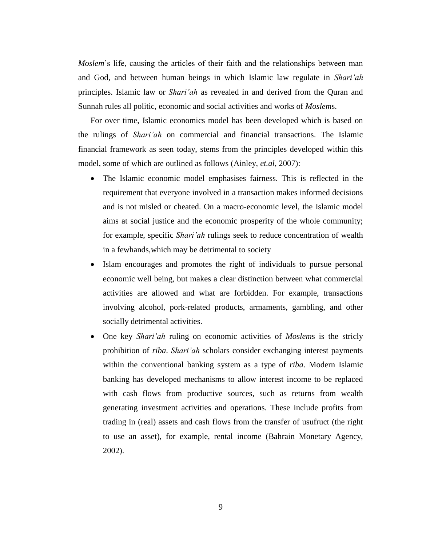*Moslem*'s life, causing the articles of their faith and the relationships between man and God, and between human beings in which Islamic law regulate in *Shari'ah* principles. Islamic law or *Shari'ah* as revealed in and derived from the Quran and Sunnah rules all politic, economic and social activities and works of *Moslem*s.

For over time, Islamic economics model has been developed which is based on the rulings of *Shari'ah* on commercial and financial transactions. The Islamic financial framework as seen today, stems from the principles developed within this model, some of which are outlined as follows (Ainley, *et.al*, 2007):

- The Islamic economic model emphasises fairness. This is reflected in the requirement that everyone involved in a transaction makes informed decisions and is not misled or cheated. On a macro-economic level, the Islamic model aims at social justice and the economic prosperity of the whole community; for example, specific *Shari'ah* rulings seek to reduce concentration of wealth in a fewhands,which may be detrimental to society
- Islam encourages and promotes the right of individuals to pursue personal economic well being, but makes a clear distinction between what commercial activities are allowed and what are forbidden. For example, transactions involving alcohol, pork-related products, armaments, gambling, and other socially detrimental activities.
- One key *Shari'ah* ruling on economic activities of *Moslem*s is the stricly prohibition of *riba*. *Shari'ah* scholars consider exchanging interest payments within the conventional banking system as a type of *riba*. Modern Islamic banking has developed mechanisms to allow interest income to be replaced with cash flows from productive sources, such as returns from wealth generating investment activities and operations. These include profits from trading in (real) assets and cash flows from the transfer of usufruct (the right to use an asset), for example, rental income (Bahrain Monetary Agency, 2002).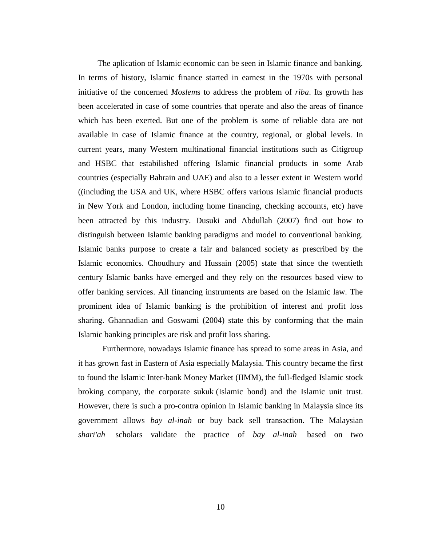The aplication of Islamic economic can be seen in Islamic finance and banking. In terms of history, Islamic finance started in earnest in the 1970s with personal initiative of the concerned *Moslem*s to address the problem of *riba*. Its growth has been accelerated in case of some countries that operate and also the areas of finance which has been exerted. But one of the problem is some of reliable data are not available in case of Islamic finance at the country, regional, or global levels. In current years, many Western multinational financial institutions such as Citigroup and HSBC that estabilished offering Islamic financial products in some Arab countries (especially Bahrain and UAE) and also to a lesser extent in Western world ((including the USA and UK, where HSBC offers various Islamic financial products in New York and London, including home financing, checking accounts, etc) have been attracted by this industry. Dusuki and Abdullah (2007) find out how to distinguish between Islamic banking paradigms and model to conventional banking. Islamic banks purpose to create a fair and balanced society as prescribed by the Islamic economics. Choudhury and Hussain (2005) state that since the twentieth century Islamic banks have emerged and they rely on the resources based view to offer banking services. All financing instruments are based on the Islamic law. The prominent idea of Islamic banking is the prohibition of interest and profit loss sharing. Ghannadian and Goswami (2004) state this by conforming that the main Islamic banking principles are risk and profit loss sharing.

Furthermore, nowadays Islamic finance has spread to some areas in Asia, and it has grown fast in Eastern of Asia especially Malaysia. This country became the first to found the Islamic Inter-bank Money Market (IIMM), the full-fledged Islamic stock broking company, the corporate sukuk (Islamic bond) and the Islamic unit trust. However, there is such a pro-contra opinion in Islamic banking in Malaysia since its government allows *bay al-inah* or buy back sell transaction. The Malaysian *shari'ah* scholars validate the practice of *bay al-inah* based on two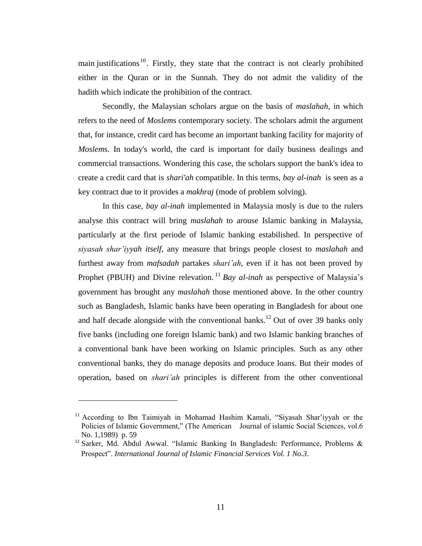main justifications  $10$ . Firstly, they state that the contract is not clearly prohibited either in the Quran or in the Sunnah. They do not admit the validity of the hadith which indicate the prohibition of the contract.

Secondly, the Malaysian scholars argue on the basis of *maslahah*, in which refers to the need of *Moslem*s contemporary society. The scholars admit the argument that, for instance, credit card has become an important banking facility for majority of *Moslem*s. In today's world, the card is important for daily business dealings and commercial transactions. Wondering this case, the scholars support the bank's idea to create a credit card that is *shari'ah* compatible. In this terms, *bay al-inah* is seen as a key contract due to it provides a *makhraj* (mode of problem solving).

In this case, *bay al-inah* implemented in Malaysia mosly is due to the rulers analyse this contract will bring *maslahah* to arouse Islamic banking in Malaysia, particularly at the first periode of Islamic banking estabilished. In perspective of *siyasah shar'iyyah itself*, any measure that brings people closest to *maslahah* and furthest away from *mafsadah* partakes *shari'ah*, even if it has not been proved by Prophet (PBUH) and Divine relevation.<sup>11</sup> *Bay al-inah* as perspective of Malaysia's government has brought any *maslahah* those mentioned above. In the other country such as Bangladesh, Islamic banks have been operating in Bangladesh for about one and half decade alongside with the conventional banks.<sup>12</sup> Out of over 39 banks only five banks (including one foreign Islamic bank) and two Islamic banking branches of a conventional bank have been working on Islamic principles. Such as any other conventional banks, they do manage deposits and produce loans. But their modes of operation, based on *shari'ah* principles is different from the other conventional

 $\ddot{\phantom{a}}$ 

<sup>&</sup>lt;sup>11</sup> According to Ibn Taimiyah in Mohamad Hashim Kamali, "Siyasah Shar'iyyah or the Policies of Islamic Government," (The American Journal of islamic Social Sciences, vol.6 No. 1,1989) p. 59

<sup>12</sup> Sarker, Md. Abdul Awwal. "Islamic Banking In Bangladesh: Performance, Problems & Prospect". *International Journal of Islamic Financial Services Vol. 1 No.3*.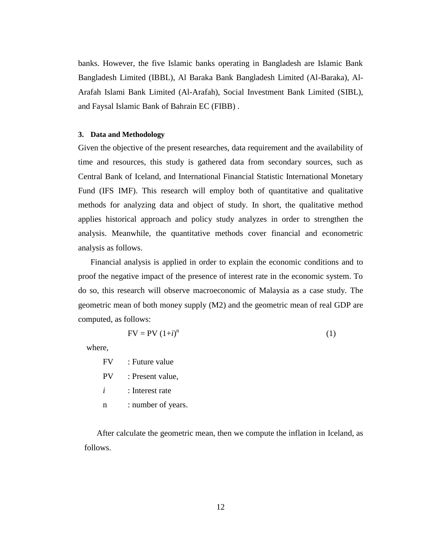banks. However, the five Islamic banks operating in Bangladesh are Islamic Bank Bangladesh Limited (IBBL), Al Baraka Bank Bangladesh Limited (Al-Baraka), Al-Arafah Islami Bank Limited (Al-Arafah), Social Investment Bank Limited (SIBL), and Faysal Islamic Bank of Bahrain EC (FIBB) .

#### **3. Data and Methodology**

Given the objective of the present researches, data requirement and the availability of time and resources, this study is gathered data from secondary sources, such as Central Bank of Iceland, and International Financial Statistic International Monetary Fund (IFS IMF). This research will employ both of quantitative and qualitative methods for analyzing data and object of study. In short, the qualitative method applies historical approach and policy study analyzes in order to strengthen the analysis. Meanwhile, the quantitative methods cover financial and econometric analysis as follows.

Financial analysis is applied in order to explain the economic conditions and to proof the negative impact of the presence of interest rate in the economic system. To do so, this research will observe macroeconomic of Malaysia as a case study. The geometric mean of both money supply (M2) and the geometric mean of real GDP are computed, as follows:

$$
FV = PV (1+i)^{n}
$$
 (1)

where,

FV : Future value

PV : Present value,

*i* : Interest rate

n : number of years.

After calculate the geometric mean, then we compute the inflation in Iceland, as follows.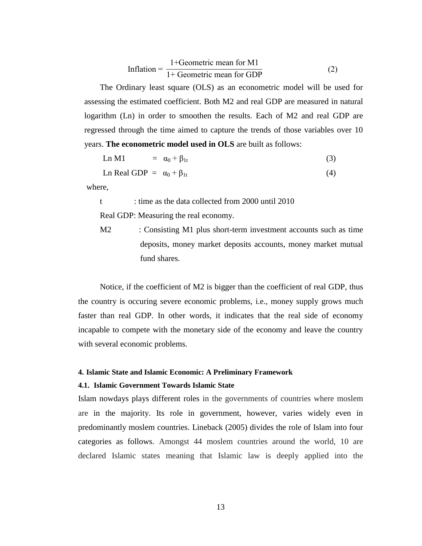Inflation = 
$$
\frac{1 + \text{Geometric mean for M1}}{1 + \text{Geometric mean for GDP}}
$$
 (2)

The Ordinary least square (OLS) as an econometric model will be used for assessing the estimated coefficient. Both M2 and real GDP are measured in natural logarithm (Ln) in order to smoothen the results. Each of M2 and real GDP are regressed through the time aimed to capture the trends of those variables over 10 years. **The econometric model used in OLS** are built as follows:

Ln M1  $= \alpha_0 + \beta_{1t}$  (3)

Ln Real GDP =  $\alpha_0 + \beta_{1t}$  (4)

where,

t : time as the data collected from 2000 until 2010

Real GDP: Measuring the real economy.

M2 : Consisting M1 plus short-term investment accounts such as time deposits, money market deposits accounts, money market mutual fund shares.

Notice, if the coefficient of M2 is bigger than the coefficient of real GDP, thus the country is occuring severe economic problems, i.e., money supply grows much faster than real GDP. In other words, it indicates that the real side of economy incapable to compete with the monetary side of the economy and leave the country with several economic problems.

## **4. Islamic State and Islamic Economic: A Preliminary Framework**

## **4.1. Islamic Government Towards Islamic State**

Islam nowdays plays different roles in the governments of countries where moslem are in the majority. Its role in government, however, varies widely even in predominantly moslem countries. Lineback (2005) divides the role of Islam into four categories as follows. Amongst 44 moslem countries around the world, 10 are declared Islamic states meaning that Islamic law is deeply applied into the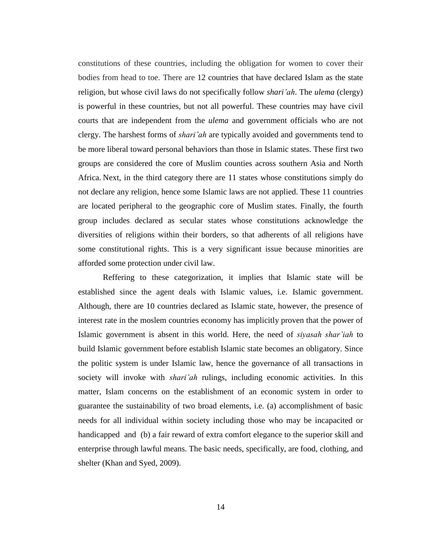constitutions of these countries, including the obligation for women to cover their bodies from head to toe. There are 12 countries that have declared Islam as the state religion, but whose civil laws do not specifically follow *shari'ah*. The *ulema* (clergy) is powerful in these countries, but not all powerful. These countries may have civil courts that are independent from the *ulema* and government officials who are not clergy. The harshest forms of *shari'ah* are typically avoided and governments tend to be more liberal toward personal behaviors than those in Islamic states. These first two groups are considered the core of Muslim counties across southern Asia and North Africa. Next, in the third category there are 11 states whose constitutions simply do not declare any religion, hence some Islamic laws are not applied. These 11 countries are located peripheral to the geographic core of Muslim states. Finally, the fourth group includes declared as secular states whose constitutions acknowledge the diversities of religions within their borders, so that adherents of all religions have some constitutional rights. This is a very significant issue because minorities are afforded some protection under civil law.

Reffering to these categorization, it implies that Islamic state will be established since the agent deals with Islamic values, i.e. Islamic government. Although, there are 10 countries declared as Islamic state, however, the presence of interest rate in the moslem countries economy has implicitly proven that the power of Islamic government is absent in this world. Here, the need of *siyasah shar'iah* to build Islamic government before establish Islamic state becomes an obligatory. Since the politic system is under Islamic law, hence the governance of all transactions in society will invoke with *shari'ah* rulings, including economic activities. In this matter, Islam concerns on the establishment of an economic system in order to guarantee the sustainability of two broad elements, i.e. (a) accomplishment of basic needs for all individual within society including those who may be incapacited or handicapped and (b) a fair reward of extra comfort elegance to the superior skill and enterprise through lawful means. The basic needs, specifically, are food, clothing, and shelter (Khan and Syed, 2009).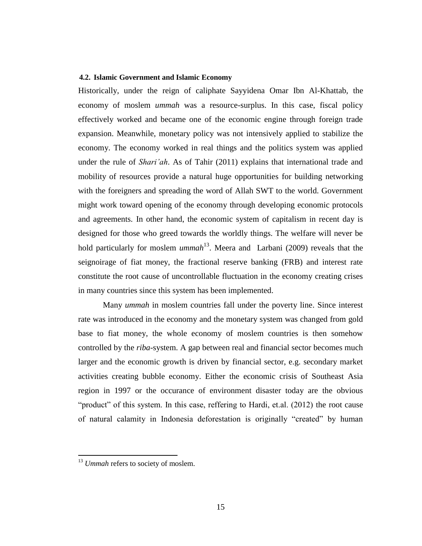## **4.2. Islamic Government and Islamic Economy**

Historically, under the reign of caliphate Sayyidena Omar Ibn Al-Khattab, the economy of moslem *ummah* was a resource-surplus. In this case, fiscal policy effectively worked and became one of the economic engine through foreign trade expansion. Meanwhile, monetary policy was not intensively applied to stabilize the economy. The economy worked in real things and the politics system was applied under the rule of *Shari'ah*. As of Tahir (2011) explains that international trade and mobility of resources provide a natural huge opportunities for building networking with the foreigners and spreading the word of Allah SWT to the world. Government might work toward opening of the economy through developing economic protocols and agreements. In other hand, the economic system of capitalism in recent day is designed for those who greed towards the worldly things. The welfare will never be hold particularly for moslem *ummah*<sup>13</sup>. Meera and Larbani (2009) reveals that the seignoirage of fiat money, the fractional reserve banking (FRB) and interest rate constitute the root cause of uncontrollable fluctuation in the economy creating crises in many countries since this system has been implemented.

Many *ummah* in moslem countries fall under the poverty line. Since interest rate was introduced in the economy and the monetary system was changed from gold base to fiat money, the whole economy of moslem countries is then somehow controlled by the *riba*-system. A gap between real and financial sector becomes much larger and the economic growth is driven by financial sector, e.g. secondary market activities creating bubble economy. Either the economic crisis of Southeast Asia region in 1997 or the occurance of environment disaster today are the obvious "product" of this system. In this case, reffering to Hardi, et.al. (2012) the root cause of natural calamity in Indonesia deforestation is originally "created" by human

 $\overline{a}$ 

<sup>&</sup>lt;sup>13</sup> Ummah refers to society of moslem.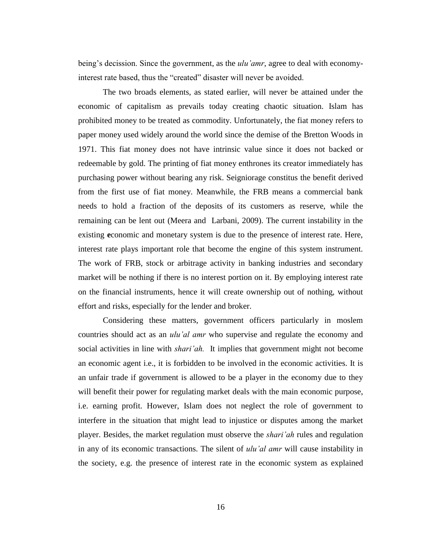being's decission. Since the government, as the *ulu'amr*, agree to deal with economyinterest rate based, thus the "created" disaster will never be avoided.

The two broads elements, as stated earlier, will never be attained under the economic of capitalism as prevails today creating chaotic situation. Islam has prohibited money to be treated as commodity. Unfortunately, the fiat money refers to paper money used widely around the world since the demise of the Bretton Woods in 1971. This fiat money does not have intrinsic value since it does not backed or redeemable by gold. The printing of fiat money enthrones its creator immediately has purchasing power without bearing any risk. Seigniorage constitus the benefit derived from the first use of fiat money. Meanwhile, the FRB means a commercial bank needs to hold a fraction of the deposits of its customers as reserve, while the remaining can be lent out (Meera and Larbani, 2009). The current instability in the existing **e**conomic and monetary system is due to the presence of interest rate. Here, interest rate plays important role that become the engine of this system instrument. The work of FRB, stock or arbitrage activity in banking industries and secondary market will be nothing if there is no interest portion on it. By employing interest rate on the financial instruments, hence it will create ownership out of nothing, without effort and risks, especially for the lender and broker.

Considering these matters, government officers particularly in moslem countries should act as an *ulu'al amr* who supervise and regulate the economy and social activities in line with *shari'ah.* It implies that government might not become an economic agent i.e., it is forbidden to be involved in the economic activities. It is an unfair trade if government is allowed to be a player in the economy due to they will benefit their power for regulating market deals with the main economic purpose, i.e. earning profit. However, Islam does not neglect the role of government to interfere in the situation that might lead to injustice or disputes among the market player. Besides, the market regulation must observe the *shari'ah* rules and regulation in any of its economic transactions. The silent of *ulu'al amr* will cause instability in the society, e.g. the presence of interest rate in the economic system as explained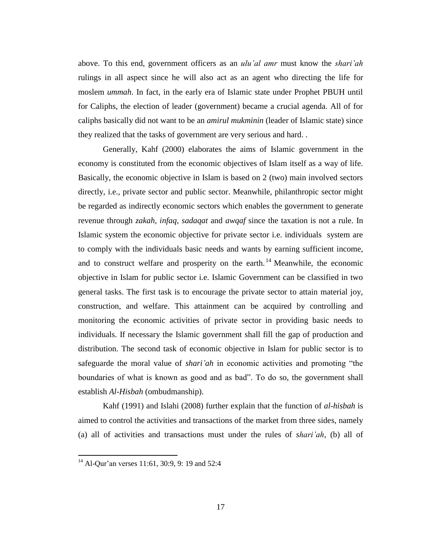above. To this end, government officers as an *ulu'al amr* must know the *shari'ah* rulings in all aspect since he will also act as an agent who directing the life for moslem *ummah*. In fact, in the early era of Islamic state under Prophet PBUH until for Caliphs, the election of leader (government) became a crucial agenda. All of for caliphs basically did not want to be an *amirul mukminin* (leader of Islamic state) since they realized that the tasks of government are very serious and hard. .

Generally, Kahf (2000) elaborates the aims of Islamic government in the economy is constituted from the economic objectives of Islam itself as a way of life. Basically, the economic objective in Islam is based on 2 (two) main involved sectors directly, i.e., private sector and public sector. Meanwhile, philanthropic sector might be regarded as indirectly economic sectors which enables the government to generate revenue through *zakah*, *infaq*, *sadaqat* and *awqaf* since the taxation is not a rule. In Islamic system the economic objective for private sector i.e. individuals system are to comply with the individuals basic needs and wants by earning sufficient income, and to construct welfare and prosperity on the earth.<sup>14</sup> Meanwhile, the economic objective in Islam for public sector i.e. Islamic Government can be classified in two general tasks. The first task is to encourage the private sector to attain material joy, construction, and welfare. This attainment can be acquired by controlling and monitoring the economic activities of private sector in providing basic needs to individuals. If necessary the Islamic government shall fill the gap of production and distribution. The second task of economic objective in Islam for public sector is to safeguarde the moral value of *shari'ah* in economic activities and promoting "the boundaries of what is known as good and as bad". To do so, the government shall establish *Al-Hisbah* (ombudmanship).

Kahf (1991) and Islahi (2008) further explain that the function of *al-hisbah* is aimed to control the activities and transactions of the market from three sides, namely (a) all of activities and transactions must under the rules of *shari'ah,* (b) all of

 $\overline{a}$ 

 $14$  Al-Qur'an verses 11:61, 30:9, 9: 19 and 52:4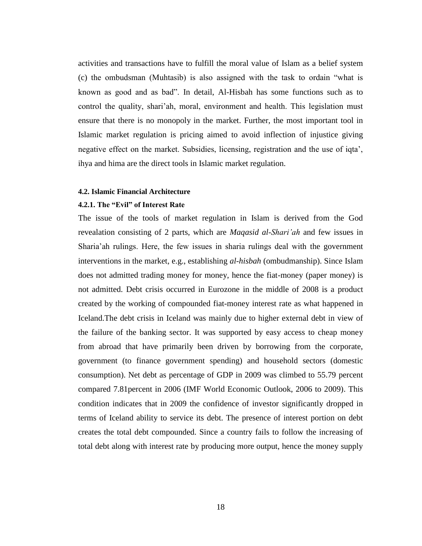activities and transactions have to fulfill the moral value of Islam as a belief system (c) the ombudsman (Muhtasib) is also assigned with the task to ordain "what is known as good and as bad". In detail, Al-Hisbah has some functions such as to control the quality, shari'ah, moral, environment and health. This legislation must ensure that there is no monopoly in the market. Further, the most important tool in Islamic market regulation is pricing aimed to avoid inflection of injustice giving negative effect on the market. Subsidies, licensing, registration and the use of iqta', ihya and hima are the direct tools in Islamic market regulation.

#### **4.2. Islamic Financial Architecture**

## **4.2.1. The "Evil" of Interest Rate**

The issue of the tools of market regulation in Islam is derived from the God revealation consisting of 2 parts, which are *Maqasid al-Shari'ah* and few issues in Sharia'ah rulings. Here, the few issues in sharia rulings deal with the government interventions in the market, e.g., establishing *al-hisbah* (ombudmanship). Since Islam does not admitted trading money for money, hence the fiat-money (paper money) is not admitted. Debt crisis occurred in Eurozone in the middle of 2008 is a product created by the working of compounded fiat-money interest rate as what happened in Iceland.The debt crisis in Iceland was mainly due to higher external debt in view of the failure of the banking sector. It was supported by easy access to cheap money from abroad that have primarily been driven by borrowing from the corporate, government (to finance government spending) and household sectors (domestic consumption). Net debt as percentage of GDP in 2009 was climbed to 55.79 percent compared 7.81percent in 2006 (IMF World Economic Outlook, 2006 to 2009). This condition indicates that in 2009 the confidence of investor significantly dropped in terms of Iceland ability to service its debt. The presence of interest portion on debt creates the total debt compounded. Since a country fails to follow the increasing of total debt along with interest rate by producing more output, hence the money supply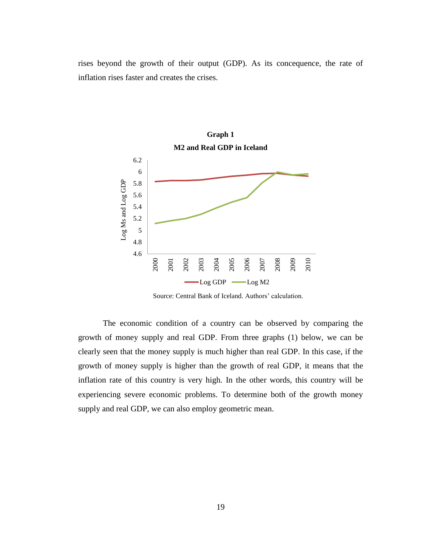rises beyond the growth of their output (GDP). As its concequence, the rate of inflation rises faster and creates the crises.



Source: Central Bank of Iceland. Authors' calculation.

The economic condition of a country can be observed by comparing the growth of money supply and real GDP. From three graphs (1) below, we can be clearly seen that the money supply is much higher than real GDP. In this case, if the growth of money supply is higher than the growth of real GDP, it means that the inflation rate of this country is very high. In the other words, this country will be experiencing severe economic problems. To determine both of the growth money supply and real GDP, we can also employ geometric mean.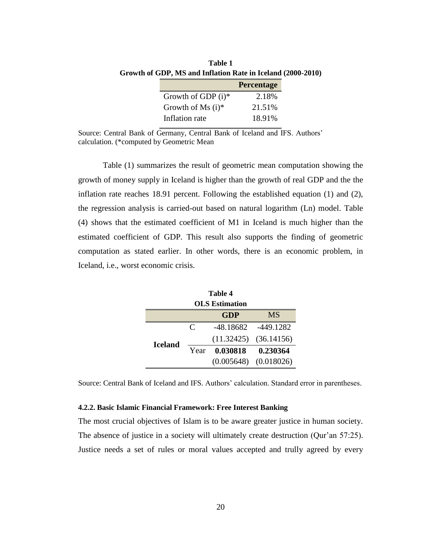|                      | Percentage |
|----------------------|------------|
| Growth of GDP $(i)*$ | 2.18%      |
| Growth of Ms $(i)*$  | 21.51%     |
| Inflation rate       | 18.91%     |

**Table 1 Growth of GDP, MS and Inflation Rate in Iceland (2000-2010)**

Source: Central Bank of Germany, Central Bank of Iceland and IFS. Authors' calculation. (\*computed by Geometric Mean

Table (1) summarizes the result of geometric mean computation showing the growth of money supply in Iceland is higher than the growth of real GDP and the the inflation rate reaches 18.91 percent. Following the established equation (1) and (2), the regression analysis is carried-out based on natural logarithm (Ln) model. Table (4) shows that the estimated coefficient of M1 in Iceland is much higher than the estimated coefficient of GDP. This result also supports the finding of geometric computation as stated earlier. In other words, there is an economic problem, in Iceland, i.e., worst economic crisis.

| Table 4               |                             |            |                           |
|-----------------------|-----------------------------|------------|---------------------------|
| <b>OLS</b> Estimation |                             |            |                           |
|                       |                             | <b>GDP</b> | <b>MS</b>                 |
| <b>Iceland</b>        | $\mathcal{C}_{\mathcal{C}}$ |            | -48.18682 -449.1282       |
|                       |                             |            | $(11.32425)$ $(36.14156)$ |
|                       | Year                        | 0.030818   | 0.230364                  |
|                       |                             |            | $(0.005648)$ $(0.018026)$ |

Source: Central Bank of Iceland and IFS. Authors' calculation. Standard error in parentheses.

#### **4.2.2. Basic Islamic Financial Framework: Free Interest Banking**

The most crucial objectives of Islam is to be aware greater justice in human society. The absence of justice in a society will ultimately create destruction (Qur'an 57:25). Justice needs a set of rules or moral values accepted and trully agreed by every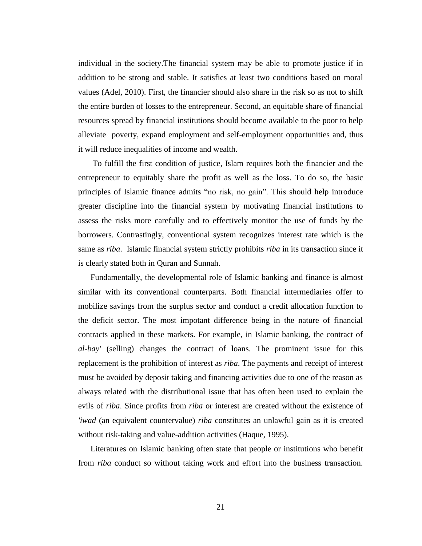individual in the society.The financial system may be able to promote justice if in addition to be strong and stable. It satisfies at least two conditions based on moral values (Adel, 2010). First, the financier should also share in the risk so as not to shift the entire burden of losses to the entrepreneur. Second, an equitable share of financial resources spread by financial institutions should become available to the poor to help alleviate poverty, expand employment and self-employment opportunities and, thus it will reduce inequalities of income and wealth.

To fulfill the first condition of justice, Islam requires both the financier and the entrepreneur to equitably share the profit as well as the loss. To do so, the basic principles of Islamic finance admits "no risk, no gain". This should help introduce greater discipline into the financial system by motivating financial institutions to assess the risks more carefully and to effectively monitor the use of funds by the borrowers. Contrastingly, conventional system recognizes interest rate which is the same as *riba*. Islamic financial system strictly prohibits *riba* in its transaction since it is clearly stated both in Quran and Sunnah.

Fundamentally, the developmental role of Islamic banking and finance is almost similar with its conventional counterparts. Both financial intermediaries offer to mobilize savings from the surplus sector and conduct a credit allocation function to the deficit sector. The most impotant difference being in the nature of financial contracts applied in these markets. For example, in Islamic banking, the contract of *al-bay'* (selling) changes the contract of loans. The prominent issue for this replacement is the prohibition of interest as *riba*. The payments and receipt of interest must be avoided by deposit taking and financing activities due to one of the reason as always related with the distributional issue that has often been used to explain the evils of *riba*. Since profits from *riba* or interest are created without the existence of *'iwad* (an equivalent countervalue) *riba* constitutes an unlawful gain as it is created without risk-taking and value-addition activities (Haque, 1995).

Literatures on Islamic banking often state that people or institutions who benefit from *riba* conduct so without taking work and effort into the business transaction.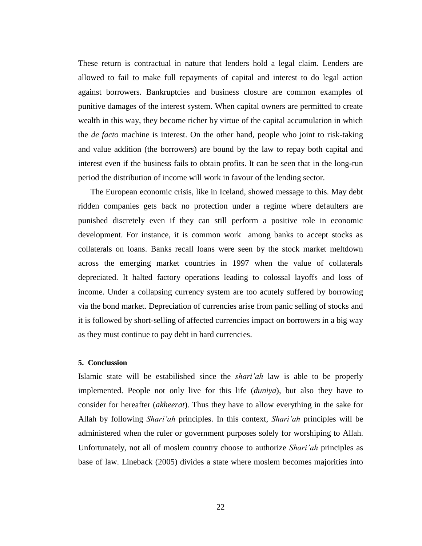These return is contractual in nature that lenders hold a legal claim. Lenders are allowed to fail to make full repayments of capital and interest to do legal action against borrowers. Bankruptcies and business closure are common examples of punitive damages of the interest system. When capital owners are permitted to create wealth in this way, they become richer by virtue of the capital accumulation in which the *de facto* machine is interest. On the other hand, people who joint to risk-taking and value addition (the borrowers) are bound by the law to repay both capital and interest even if the business fails to obtain profits. It can be seen that in the long-run period the distribution of income will work in favour of the lending sector.

The European economic crisis, like in Iceland, showed message to this. May debt ridden companies gets back no protection under a regime where defaulters are punished discretely even if they can still perform a positive role in economic development. For instance, it is common work among banks to accept stocks as collaterals on loans. Banks recall loans were seen by the stock market meltdown across the emerging market countries in 1997 when the value of collaterals depreciated. It halted factory operations leading to colossal layoffs and loss of income. Under a collapsing currency system are too acutely suffered by borrowing via the bond market. Depreciation of currencies arise from panic selling of stocks and it is followed by short-selling of affected currencies impact on borrowers in a big way as they must continue to pay debt in hard currencies.

#### **5. Conclussion**

Islamic state will be estabilished since the *shari'ah* law is able to be properly implemented. People not only live for this life (*duniya*), but also they have to consider for hereafter (*akheerat*). Thus they have to allow everything in the sake for Allah by following *Shari'ah* principles. In this context, *Shari'ah* principles will be administered when the ruler or government purposes solely for worshiping to Allah. Unfortunately, not all of moslem country choose to authorize *Shari'ah* principles as base of law. Lineback (2005) divides a state where moslem becomes majorities into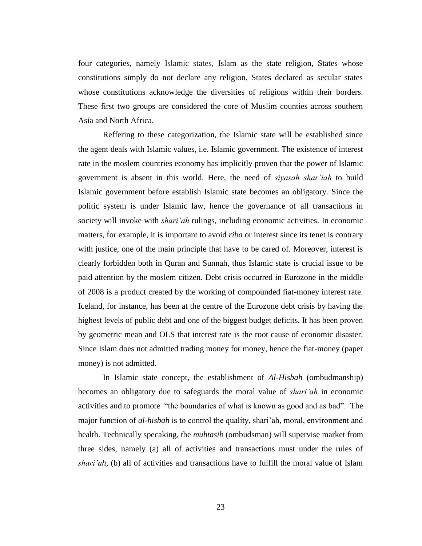four categories, namely Islamic states, Islam as the state religion, States whose constitutions simply do not declare any religion, States declared as secular states whose constitutions acknowledge the diversities of religions within their borders. These first two groups are considered the core of Muslim counties across southern Asia and North Africa.

Reffering to these categorization, the Islamic state will be established since the agent deals with Islamic values, i.e. Islamic government. The existence of interest rate in the moslem countries economy has implicitly proven that the power of Islamic government is absent in this world. Here, the need of *siyasah shar'iah* to build Islamic government before establish Islamic state becomes an obligatory. Since the politic system is under Islamic law, hence the governance of all transactions in society will invoke with *shari'ah* rulings, including economic activities. In economic matters, for example, it is important to avoid *riba* or interest since its tenet is contrary with justice, one of the main principle that have to be cared of. Moreover, interest is clearly forbidden both in Quran and Sunnah, thus Islamic state is crucial issue to be paid attention by the moslem citizen. Debt crisis occurred in Eurozone in the middle of 2008 is a product created by the working of compounded fiat-money interest rate. Iceland, for instance, has been at the centre of the Eurozone debt crisis by having the highest levels of public debt and one of the biggest budget deficits. It has been proven by geometric mean and OLS that interest rate is the root cause of economic disaster. Since Islam does not admitted trading money for money, hence the fiat-money (paper money) is not admitted.

In Islamic state concept, the establishment of *Al-Hisbah* (ombudmanship) becomes an obligatory due to safeguards the moral value of *shari'ah* in economic activities and to promote "the boundaries of what is known as good and as bad". The major function of *al-hisbah* is to control the quality, shari'ah, moral, environment and health. Technically specaking, the *muhtasib* (ombudsman) will supervise market from three sides, namely (a) all of activities and transactions must under the rules of *shari'ah,* (b) all of activities and transactions have to fulfill the moral value of Islam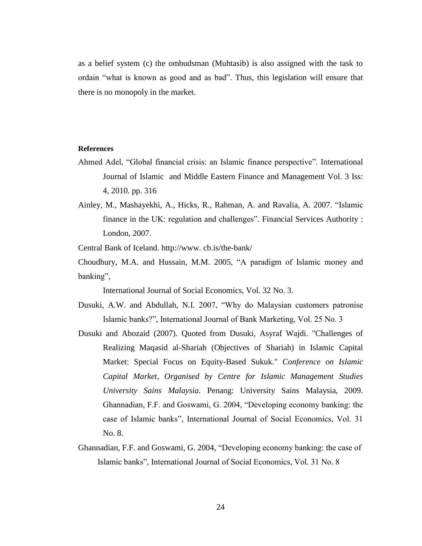as a belief system (c) the ombudsman (Muhtasib) is also assigned with the task to ordain "what is known as good and as bad". Thus, this legislation will ensure that there is no monopoly in the market.

#### **References**

- Ahmed Adel, "Global financial crisis: an Islamic finance perspective". International Journal of Islamic and Middle Eastern Finance and Management Vol. 3 Iss: 4, 2010. pp. 316
- Ainley, M., Mashayekhi, A., Hicks, R., Rahman, A. and Ravalia, A. 2007. "Islamic finance in the UK: regulation and challenges". Financial Services Authority : London, 2007.

Central Bank of Iceland. http://www. cb.is/the-bank/

Choudhury, M.A. and Hussain, M.M. 2005, "A paradigm of Islamic money and banking",

International Journal of Social Economics, Vol. 32 No. 3.

- Dusuki, A.W. and Abdullah, N.I. 2007, "Why do Malaysian customers patronise Islamic banks?", International Journal of Bank Marketing, Vol. 25 No. 3
- Dusuki and Abozaid (2007). Quoted from Dusuki, Asyraf Wajdi. "Challenges of Realizing Maqasid al-Shariah (Objectives of Shariah) in Islamic Capital Market: Special Focus on Equity-Based Sukuk." *Conference on Islamic Capital Market, Organised by Centre for Islamic Management Studies University Sains Malaysia.* Penang: University Sains Malaysia, 2009. Ghannadian, F.F. and Goswami, G. 2004, "Developing economy banking: the case of Islamic banks", International Journal of Social Economics, Vol. 31 No. 8.
- Ghannadian, F.F. and Goswami, G. 2004, "Developing economy banking: the case of Islamic banks", International Journal of Social Economics, Vol. 31 No. 8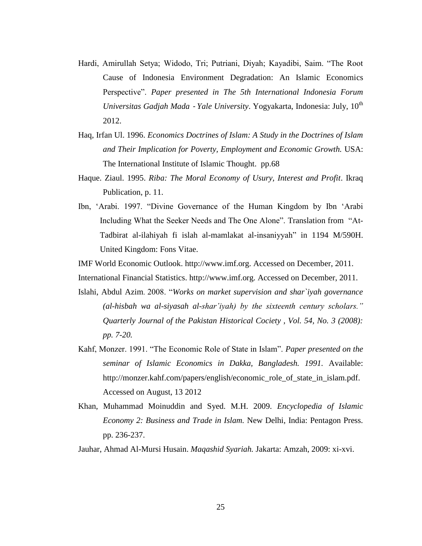- Hardi, Amirullah Setya; Widodo, Tri; Putriani, Diyah; Kayadibi, Saim. "The Root Cause of Indonesia Environment Degradation: An Islamic Economics Perspective". *Paper presented in The 5th International Indonesia Forum Universitas Gadjah Mada - Yale University.* Yogyakarta, Indonesia: July, 10<sup>th</sup> 2012.
- Haq, Irfan Ul. 1996. *Economics Doctrines of Islam: A Study in the Doctrines of Islam and Their Implication for Poverty, Employment and Economic Growth.* USA: The International Institute of Islamic Thought. pp.68
- Haque. Ziaul. 1995. *Riba: The Moral Economy of Usury, Interest and Profit*. Ikraq Publication, p. 11.
- Ibn, 'Arabi. 1997. "Divine Governance of the Human Kingdom by Ibn 'Arabi Including What the Seeker Needs and The One Alone". Translation from "At-Tadbirat al-ilahiyah fi islah al-mamlakat al-insaniyyah" in 1194 M/590H. United Kingdom: Fons Vitae.

IMF World Economic Outlook. [http://www.imf.org.](http://www.imf.org/) Accessed on December, 2011.

International Financial Statistics. [http://www.imf.org.](http://www.imf.org/) Accessed on December, 2011.

- Islahi, Abdul Azim. 2008. "*Works on market supervision and shar`iyah governance (al-hisbah wa al-siyasah al-shar'iyah) by the sixteenth century scholars." Quarterly Journal of the Pakistan Historical Cociety , Vol. 54, No. 3 (2008): pp. 7-20.*
- Kahf, Monzer. 1991. "The Economic Role of State in Islam". *Paper presented on the seminar of Islamic Economics in Dakka, Bangladesh. 1991.* Available: [http://monzer.kahf.com/papers/english/economic\\_role\\_of\\_state\\_in\\_islam.pdf.](http://monzer.kahf.com/papers/english/economic_role_of_state_in_islam.pdf) Accessed on August, 13 2012
- Khan, Muhammad Moinuddin and Syed. M.H. 2009. *Encyclopedia of Islamic Economy 2: Business and Trade in Islam.* New Delhi, India: Pentagon Press. pp. 236-237.

Jauhar, Ahmad Al-Mursi Husain. *Maqashid Syariah.* Jakarta: Amzah, 2009: xi-xvi.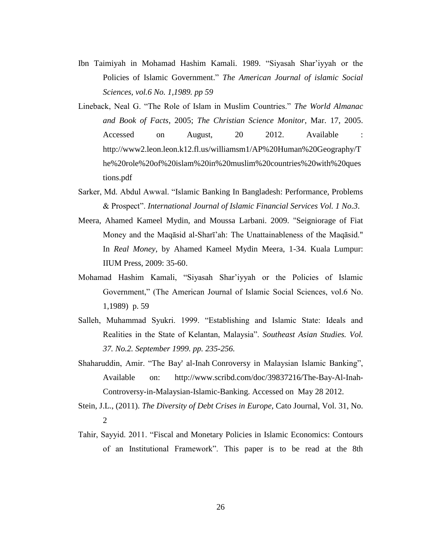- Ibn Taimiyah in Mohamad Hashim Kamali. 1989. "Siyasah Shar'iyyah or the Policies of Islamic Government." *The American Journal of islamic Social Sciences, vol.6 No. 1,1989. pp 59*
- Lineback, Neal G. "The Role of Islam in Muslim Countries." *The World Almanac and Book of Facts*, 2005; *The Christian Science Monitor*, Mar. 17, 2005. Accessed on August, 20 2012. Available : [http://www2.leon.leon.k12.fl.us/williamsm1/AP%20Human%20Geography/T](http://www2.leon.leon.k12.fl.us/williamsm1/AP%20Human%20Geography/The%20role%20of%20islam%20in%20muslim%20countries%20with%20questions.pdf) [he%20role%20of%20islam%20in%20muslim%20countries%20with%20ques](http://www2.leon.leon.k12.fl.us/williamsm1/AP%20Human%20Geography/The%20role%20of%20islam%20in%20muslim%20countries%20with%20questions.pdf) [tions.pdf](http://www2.leon.leon.k12.fl.us/williamsm1/AP%20Human%20Geography/The%20role%20of%20islam%20in%20muslim%20countries%20with%20questions.pdf)
- Sarker, Md. Abdul Awwal. "Islamic Banking In Bangladesh: Performance, Problems & Prospect". *International Journal of Islamic Financial Services Vol. 1 No.3*.
- Meera, Ahamed Kameel Mydin, and Moussa Larbani. 2009. "Seigniorage of Fiat Money and the Maqāsid al-Sharī'ah: The Unattainableness of the Maqāsid." In *Real Money*, by Ahamed Kameel Mydin Meera, 1-34. Kuala Lumpur: IIUM Press, 2009: 35-60.
- Mohamad Hashim Kamali, "Siyasah Shar'iyyah or the Policies of Islamic Government," (The American Journal of Islamic Social Sciences, vol.6 No. 1,1989) p. 59
- Salleh, Muhammad Syukri. 1999. "Establishing and Islamic State: Ideals and Realities in the State of Kelantan, Malaysia". *Southeast Asian Studies. Vol. 37. No.2. September 1999. pp. 235-256.*
- Shaharuddin, Amir. "The Bay' al-Inah Conroversy in Malaysian Islamic Banking", Available on: [http://www.scribd.com/doc/39837216/The-Bay-Al-Inah-](http://www.scribd.com/doc/39837216/The-Bay-Al-Inah-Controversy-in-Malaysian-Islamic-Banking)[Controversy-in-Malaysian-Islamic-Banking.](http://www.scribd.com/doc/39837216/The-Bay-Al-Inah-Controversy-in-Malaysian-Islamic-Banking) Accessed on May 28 2012.
- Stein, J.L., (2011). *The Diversity of Debt Crises in Europe*, Cato Journal, Vol. 31, No. 2
- Tahir, Sayyid. 2011. "Fiscal and Monetary Policies in Islamic Economics: Contours of an Institutional Framework". This paper is to be read at the 8th